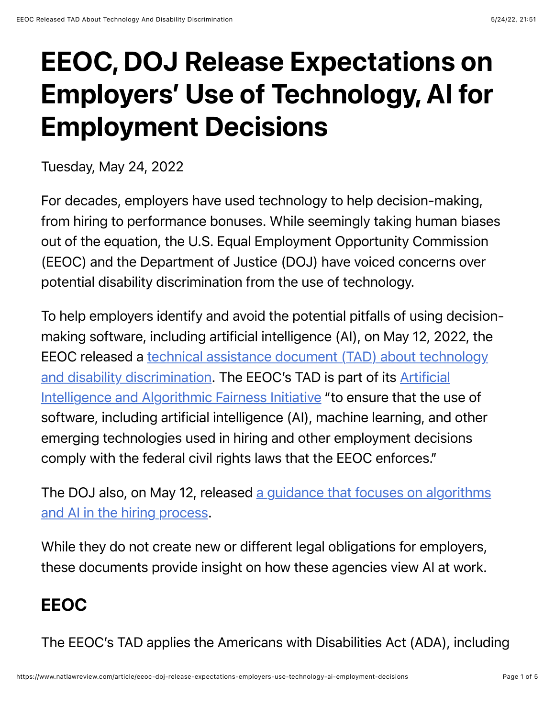## EEOC, DOJ Release Expectations on Employers' Use of Technology, AI for Employment Decisions

Tuesday, May 24, 2022

For decades, employers have used technology to help decision-making, from hiring to performance bonuses. While seemingly taking human biases out of the equation, the U.S. Equal Employment Opportunity Commission (EEOC) and the Department of Justice (DOJ) have voiced concerns over potential disability discrimination from the use of technology.

To help employers identify and avoid the potential pitfalls of using decisionmaking software, including artificial intelligence (AI), on May 12, 2022, the [EEOC released a technical assistance document \(TAD\) about technology](https://www.jacksonlewis.com/sites/default/files/docs/EEOC-TechnicalAssistanceADA-AI.pdf) [and disability discrimination. The EEOC's TAD is part of its Artificial](https://www.eeoc.gov/artificial-intelligence-and-algorithmic-fairness-initiative) Intelligence and Algorithmic Fairness Initiative "to ensure that the use of software, including artificial intelligence (AI), machine learning, and other emerging technologies used in hiring and other employment decisions comply with the federal civil rights laws that the EEOC enforces."

[The DOJ also, on May 12, released a guidance that focuses on algorithms](https://beta.ada.gov/ai-guidance/) and AI in the hiring process.

While they do not create new or different legal obligations for employers, these documents provide insight on how these agencies view AI at work.

## EEOC

The EEOC's TAD applies the Americans with Disabilities Act (ADA), including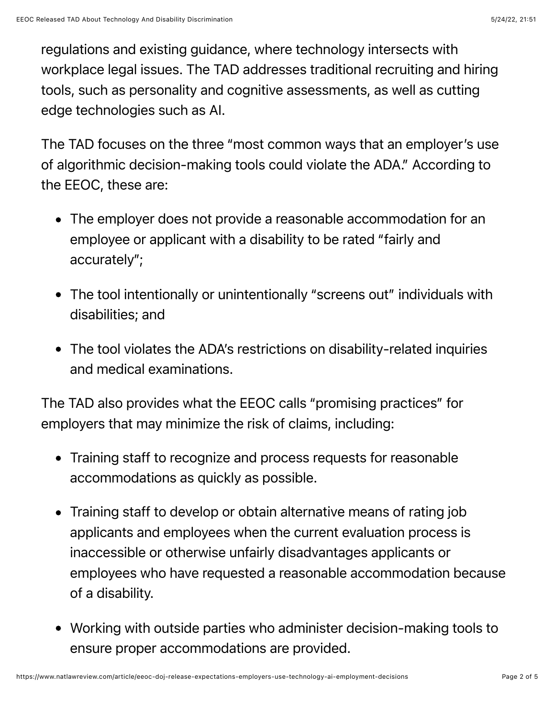regulations and existing guidance, where technology intersects with workplace legal issues. The TAD addresses traditional recruiting and hiring tools, such as personality and cognitive assessments, as well as cutting edge technologies such as AI.

The TAD focuses on the three "most common ways that an employer's use of algorithmic decision-making tools could violate the ADA." According to the EEOC, these are:

- The employer does not provide a reasonable accommodation for an employee or applicant with a disability to be rated "fairly and accurately";
- The tool intentionally or unintentionally "screens out" individuals with disabilities; and
- The tool violates the ADA's restrictions on disability-related inquiries and medical examinations.

The TAD also provides what the EEOC calls "promising practices" for employers that may minimize the risk of claims, including:

- Training staff to recognize and process requests for reasonable accommodations as quickly as possible.
- Training staff to develop or obtain alternative means of rating job applicants and employees when the current evaluation process is inaccessible or otherwise unfairly disadvantages applicants or employees who have requested a reasonable accommodation because of a disability.
- Working with outside parties who administer decision-making tools to ensure proper accommodations are provided.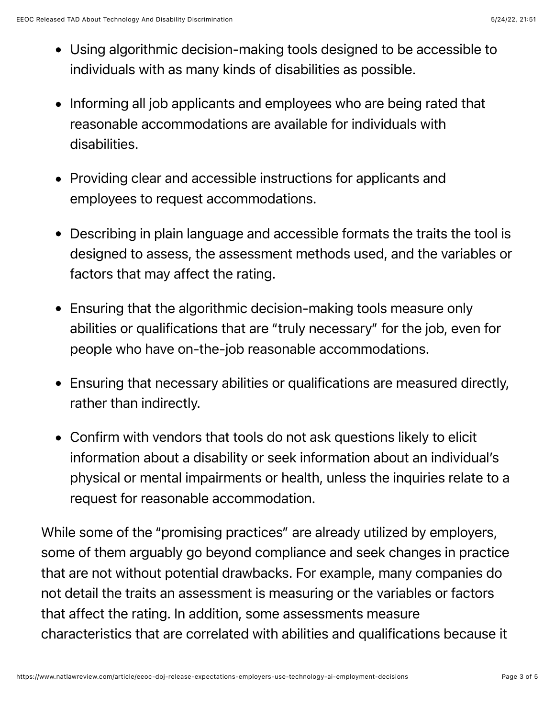- Using algorithmic decision-making tools designed to be accessible to individuals with as many kinds of disabilities as possible.
- Informing all job applicants and employees who are being rated that reasonable accommodations are available for individuals with disabilities.
- Providing clear and accessible instructions for applicants and employees to request accommodations.
- Describing in plain language and accessible formats the traits the tool is designed to assess, the assessment methods used, and the variables or factors that may affect the rating.
- Ensuring that the algorithmic decision-making tools measure only abilities or qualifications that are "truly necessary" for the job, even for people who have on-the-job reasonable accommodations.
- Ensuring that necessary abilities or qualifications are measured directly, rather than indirectly.
- Confirm with vendors that tools do not ask questions likely to elicit information about a disability or seek information about an individual's physical or mental impairments or health, unless the inquiries relate to a request for reasonable accommodation.

While some of the "promising practices" are already utilized by employers, some of them arguably go beyond compliance and seek changes in practice that are not without potential drawbacks. For example, many companies do not detail the traits an assessment is measuring or the variables or factors that affect the rating. In addition, some assessments measure characteristics that are correlated with abilities and qualifications because it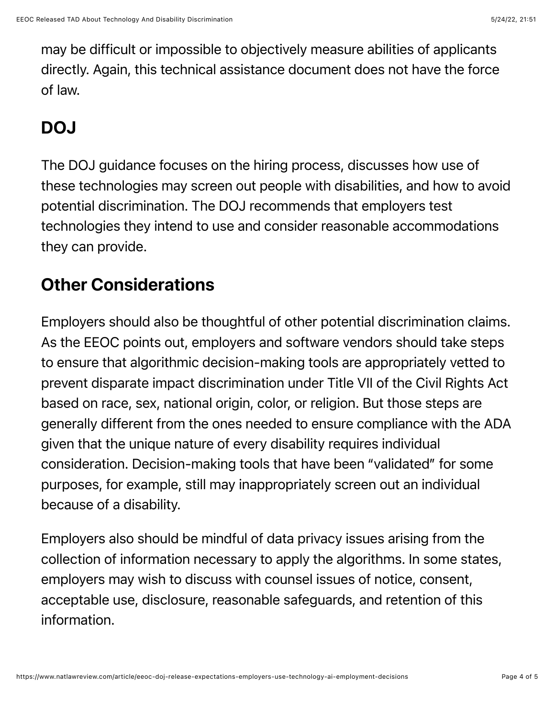may be difficult or impossible to objectively measure abilities of applicants directly. Again, this technical assistance document does not have the force of law.

## DOJ

The DOJ guidance focuses on the hiring process, discusses how use of these technologies may screen out people with disabilities, and how to avoid potential discrimination. The DOJ recommends that employers test technologies they intend to use and consider reasonable accommodations they can provide.

## Other Considerations

Employers should also be thoughtful of other potential discrimination claims. As the EEOC points out, employers and software vendors should take steps to ensure that algorithmic decision-making tools are appropriately vetted to prevent disparate impact discrimination under Title VII of the Civil Rights Act based on race, sex, national origin, color, or religion. But those steps are generally different from the ones needed to ensure compliance with the ADA given that the unique nature of every disability requires individual consideration. Decision-making tools that have been "validated" for some purposes, for example, still may inappropriately screen out an individual because of a disability.

Employers also should be mindful of data privacy issues arising from the collection of information necessary to apply the algorithms. In some states, employers may wish to discuss with counsel issues of notice, consent, acceptable use, disclosure, reasonable safeguards, and retention of this information.